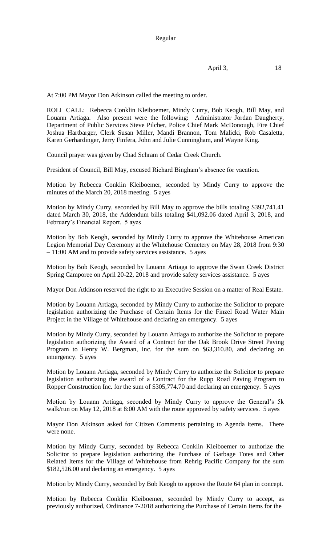$$
April 3, \t18
$$

At 7:00 PM Mayor Don Atkinson called the meeting to order.

ROLL CALL: Rebecca Conklin Kleiboemer, Mindy Curry, Bob Keogh, Bill May, and Louann Artiaga. Also present were the following: Administrator Jordan Daugherty, Department of Public Services Steve Pilcher, Police Chief Mark McDonough, Fire Chief Joshua Hartbarger, Clerk Susan Miller, Mandi Brannon, Tom Malicki, Rob Casaletta, Karen Gerhardinger, Jerry Finfera, John and Julie Cunningham, and Wayne King.

Council prayer was given by Chad Schram of Cedar Creek Church.

President of Council, Bill May, excused Richard Bingham's absence for vacation.

Motion by Rebecca Conklin Kleiboemer, seconded by Mindy Curry to approve the minutes of the March 20, 2018 meeting. 5 ayes

Motion by Mindy Curry, seconded by Bill May to approve the bills totaling \$392,741.41 dated March 30, 2018, the Addendum bills totaling \$41,092.06 dated April 3, 2018, and February's Financial Report. 5 ayes

Motion by Bob Keogh, seconded by Mindy Curry to approve the Whitehouse American Legion Memorial Day Ceremony at the Whitehouse Cemetery on May 28, 2018 from 9:30 – 11:00 AM and to provide safety services assistance. 5 ayes

Motion by Bob Keogh, seconded by Louann Artiaga to approve the Swan Creek District Spring Camporee on April 20-22, 2018 and provide safety services assistance. 5 ayes

Mayor Don Atkinson reserved the right to an Executive Session on a matter of Real Estate.

Motion by Louann Artiaga, seconded by Mindy Curry to authorize the Solicitor to prepare legislation authorizing the Purchase of Certain Items for the Finzel Road Water Main Project in the Village of Whitehouse and declaring an emergency. 5 ayes

Motion by Mindy Curry, seconded by Louann Artiaga to authorize the Solicitor to prepare legislation authorizing the Award of a Contract for the Oak Brook Drive Street Paving Program to Henry W. Bergman, Inc. for the sum on \$63,310.80, and declaring an emergency. 5 ayes

Motion by Louann Artiaga, seconded by Mindy Curry to authorize the Solicitor to prepare legislation authorizing the award of a Contract for the Rupp Road Paving Program to Ropper Construction Inc. for the sum of \$305,774.70 and declaring an emergency. 5 ayes

Motion by Louann Artiaga, seconded by Mindy Curry to approve the General's 5k walk/run on May 12, 2018 at 8:00 AM with the route approved by safety services. 5 ayes

Mayor Don Atkinson asked for Citizen Comments pertaining to Agenda items. There were none.

Motion by Mindy Curry, seconded by Rebecca Conklin Kleiboemer to authorize the Solicitor to prepare legislation authorizing the Purchase of Garbage Totes and Other Related Items for the Village of Whitehouse from Rehrig Pacific Company for the sum \$182,526.00 and declaring an emergency. 5 ayes

Motion by Mindy Curry, seconded by Bob Keogh to approve the Route 64 plan in concept.

Motion by Rebecca Conklin Kleiboemer, seconded by Mindy Curry to accept, as previously authorized, Ordinance 7-2018 authorizing the Purchase of Certain Items for the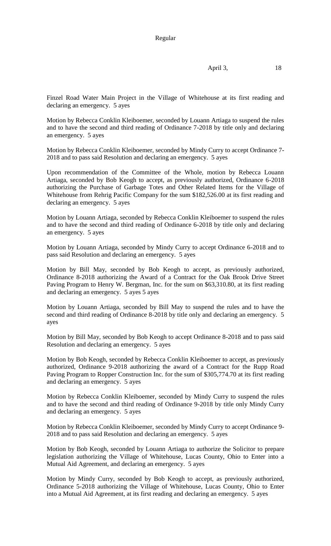## Regular

$$
April 3, \t18
$$

Finzel Road Water Main Project in the Village of Whitehouse at its first reading and declaring an emergency. 5 ayes

Motion by Rebecca Conklin Kleiboemer, seconded by Louann Artiaga to suspend the rules and to have the second and third reading of Ordinance 7-2018 by title only and declaring an emergency. 5 ayes

Motion by Rebecca Conklin Kleiboemer, seconded by Mindy Curry to accept Ordinance 7- 2018 and to pass said Resolution and declaring an emergency. 5 ayes

Upon recommendation of the Committee of the Whole, motion by Rebecca Louann Artiaga, seconded by Bob Keogh to accept, as previously authorized, Ordinance 6-2018 authorizing the Purchase of Garbage Totes and Other Related Items for the Village of Whitehouse from Rehrig Pacific Company for the sum \$182,526.00 at its first reading and declaring an emergency. 5 ayes

Motion by Louann Artiaga, seconded by Rebecca Conklin Kleiboemer to suspend the rules and to have the second and third reading of Ordinance 6-2018 by title only and declaring an emergency. 5 ayes

Motion by Louann Artiaga, seconded by Mindy Curry to accept Ordinance 6-2018 and to pass said Resolution and declaring an emergency. 5 ayes

Motion by Bill May, seconded by Bob Keogh to accept, as previously authorized, Ordinance 8-2018 authorizing the Award of a Contract for the Oak Brook Drive Street Paving Program to Henry W. Bergman, Inc. for the sum on \$63,310.80, at its first reading and declaring an emergency. 5 ayes 5 ayes

Motion by Louann Artiaga, seconded by Bill May to suspend the rules and to have the second and third reading of Ordinance 8-2018 by title only and declaring an emergency. 5 ayes

Motion by Bill May, seconded by Bob Keogh to accept Ordinance 8-2018 and to pass said Resolution and declaring an emergency. 5 ayes

Motion by Bob Keogh, seconded by Rebecca Conklin Kleiboemer to accept, as previously authorized, Ordinance 9-2018 authorizing the award of a Contract for the Rupp Road Paving Program to Ropper Construction Inc. for the sum of \$305,774.70 at its first reading and declaring an emergency. 5 ayes

Motion by Rebecca Conklin Kleiboemer, seconded by Mindy Curry to suspend the rules and to have the second and third reading of Ordinance 9-2018 by title only Mindy Curry and declaring an emergency. 5 ayes

Motion by Rebecca Conklin Kleiboemer, seconded by Mindy Curry to accept Ordinance 9- 2018 and to pass said Resolution and declaring an emergency. 5 ayes

Motion by Bob Keogh, seconded by Louann Artiaga to authorize the Solicitor to prepare legislation authorizing the Village of Whitehouse, Lucas County, Ohio to Enter into a Mutual Aid Agreement, and declaring an emergency. 5 ayes

Motion by Mindy Curry, seconded by Bob Keogh to accept, as previously authorized, Ordinance 5-2018 authorizing the Village of Whitehouse, Lucas County, Ohio to Enter into a Mutual Aid Agreement, at its first reading and declaring an emergency. 5 ayes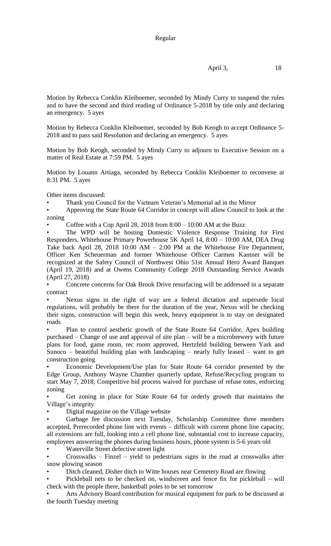## Regular

Motion by Rebecca Conklin Kleiboemer, seconded by Mindy Curry to suspend the rules and to have the second and third reading of Ordinance 5-2018 by title only and declaring an emergency. 5 ayes

Motion by Rebecca Conklin Kleiboemer, seconded by Bob Keogh to accept Ordinance 5- 2018 and to pass said Resolution and declaring an emergency. 5 ayes

Motion by Bob Keogh, seconded by Mindy Curry to adjourn to Executive Session on a matter of Real Estate at 7:59 PM. 5 ayes

Motion by Louann Artiaga, seconded by Rebecca Conklin Kleiboemer to reconvene at 8:31 PM. 5 ayes

Other items discussed:

• Thank you Council for the Vietnam Veteran's Memorial ad in the Mirror

• Approving the State Route 64 Corridor in concept will allow Council to look at the zoning

Coffee with a Cop April 28, 2018 from  $8:00 - 10:00$  AM at the Buzz

The WPD will be hosting Domestic Violence Response Training for First Responders, Whitehouse Primary Powerhouse 5K April 14, 8:00 – 10:00 AM, DEA Drug Take back April 28, 2018 10:00 AM – 2:00 PM at the Whitehouse Fire Department, Officer Ken Scheuerman and former Whitehouse Officer Carmen Kantner will be recognized at the Safety Council of Northwest Ohio 51st Annual Hero Award Banquet (April 19, 2018) and at Owens Community College 2018 Outstanding Service Awards (April 27, 2018)

• Concrete concerns for Oak Brook Drive resurfacing will be addressed in a separate contract

Nexus signs in the right of way are a federal dictation and supersede local regulations, will probably be there for the duration of the year, Nexus will be checking their signs, construction will begin this week, heavy equipment is to stay on designated roads

• Plan to control aesthetic growth of the State Route 64 Corridor, Apex building purchased – Change of use and approval of site plan – will be a microbrewery with future plans for food, game room, rec room approved, Hertzfeld building between Yark and Sunoco – beautiful building plan with landscaping – nearly fully leased – want to get construction going

• Economic Development/Use plan for State Route 64 corridor presented by the Edge Group, Anthony Wayne Chamber quarterly update, Refuse/Recycling program to start May 7, 2018, Competitive bid process waived for purchase of refuse totes, enforcing zoning

• Get zoning in place for State Route 64 for orderly growth that maintains the Village's integrity

• Digital magazine on the Village website

• Garbage fee discussion next Tuesday, Scholarship Committee three members accepted, Prerecorded phone line with events – difficult with current phone line capacity, all extensions are full, looking into a cell phone line, substantial cost to increase capacity, employees answering the phones during business hours, phone system is 5-6 years old

• Waterville Street defective street light

• Crosswalks – Finzel – yield to pedestrians signs in the road at crosswalks after snow plowing season

• Ditch cleaned, Disher ditch to Witte houses near Cemetery Road are flowing

• Pickleball nets to be checked on, windscreen and fence fix for pickleball – will check with the people there, basketball poles to be set tomorrow

• Arts Advisory Board contribution for musical equipment for park to be discussed at the fourth Tuesday meeting